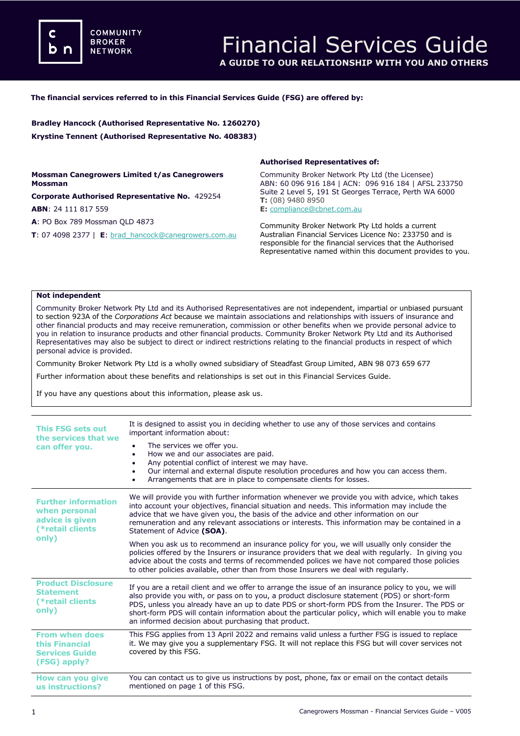**COMMUNITY BROKER NETWORK** 

## **The financial services referred to in this Financial Services Guide (FSG) are offered by:**

**Bradley Hancock (Authorised Representative No. 1260270) Krystine Tennent (Authorised Representative No. 408383)**

**Mossman Canegrowers Limited t/as Canegrowers Mossman**

**Corporate Authorised Representative No.** 429254 **ABN**: 24 111 817 559

**A**: PO Box 789 Mossman QLD 4873

**T**: 07 4098 2377 | **E**: [brad\\_hancock@canegrowers.com.au](mailto:brad_hancock@canegrowers.com.au)

### **Authorised Representatives of:**

Community Broker Network Pty Ltd (the Licensee) ABN: 60 096 916 184 | ACN: 096 916 184 | AFSL 233750 Suite 2 Level 5, 191 St Georges Terrace, Perth WA 6000 **T:** (08) 9480 8950

**E:** [compliance@cbnet.com.au](mailto:queries@naswg.com.au) 

Community Broker Network Pty Ltd holds a current Australian Financial Services Licence No: 233750 and is responsible for the financial services that the Authorised Representative named within this document provides to you.

#### **Not independent**

Community Broker Network Pty Ltd and its Authorised Representatives are not independent, impartial or unbiased pursuant to section 923A of the *Corporations Act* because we maintain associations and relationships with issuers of insurance and other financial products and may receive remuneration, commission or other benefits when we provide personal advice to you in relation to insurance products and other financial products. Community Broker Network Pty Ltd and its Authorised Representatives may also be subject to direct or indirect restrictions relating to the financial products in respect of which personal advice is provided.

Community Broker Network Pty Ltd is a wholly owned subsidiary of Steadfast Group Limited, ABN 98 073 659 677

Further information about these benefits and relationships is set out in this Financial Services Guide.

If you have any questions about this information, please ask us.

| This FSG sets out<br>the services that we<br>can offer you.                                 | It is designed to assist you in deciding whether to use any of those services and contains<br>important information about:<br>The services we offer you.<br>How we and our associates are paid.<br>$\bullet$<br>Any potential conflict of interest we may have.<br>$\bullet$<br>Our internal and external dispute resolution procedures and how you can access them.<br>$\bullet$<br>Arrangements that are in place to compensate clients for losses.<br>٠        |
|---------------------------------------------------------------------------------------------|-------------------------------------------------------------------------------------------------------------------------------------------------------------------------------------------------------------------------------------------------------------------------------------------------------------------------------------------------------------------------------------------------------------------------------------------------------------------|
| <b>Further information</b><br>when personal<br>advice is given<br>(*retail clients<br>only) | We will provide you with further information whenever we provide you with advice, which takes<br>into account your objectives, financial situation and needs. This information may include the<br>advice that we have given you, the basis of the advice and other information on our<br>remuneration and any relevant associations or interests. This information may be contained in a<br>Statement of Advice (SOA).                                            |
|                                                                                             | When you ask us to recommend an insurance policy for you, we will usually only consider the<br>policies offered by the Insurers or insurance providers that we deal with regularly. In giving you<br>advice about the costs and terms of recommended polices we have not compared those policies<br>to other policies available, other than from those Insurers we deal with regularly.                                                                           |
| <b>Product Disclosure</b><br><b>Statement</b><br>(*retail clients)<br>only)                 | If you are a retail client and we offer to arrange the issue of an insurance policy to you, we will<br>also provide you with, or pass on to you, a product disclosure statement (PDS) or short-form<br>PDS, unless you already have an up to date PDS or short-form PDS from the Insurer. The PDS or<br>short-form PDS will contain information about the particular policy, which will enable you to make<br>an informed decision about purchasing that product. |
| <b>From when does</b><br>this Financial<br><b>Services Guide</b><br>(FSG) apply?            | This FSG applies from 13 April 2022 and remains valid unless a further FSG is issued to replace<br>it. We may give you a supplementary FSG. It will not replace this FSG but will cover services not<br>covered by this FSG.                                                                                                                                                                                                                                      |
| How can you give<br>us instructions?                                                        | You can contact us to give us instructions by post, phone, fax or email on the contact details<br>mentioned on page 1 of this FSG.                                                                                                                                                                                                                                                                                                                                |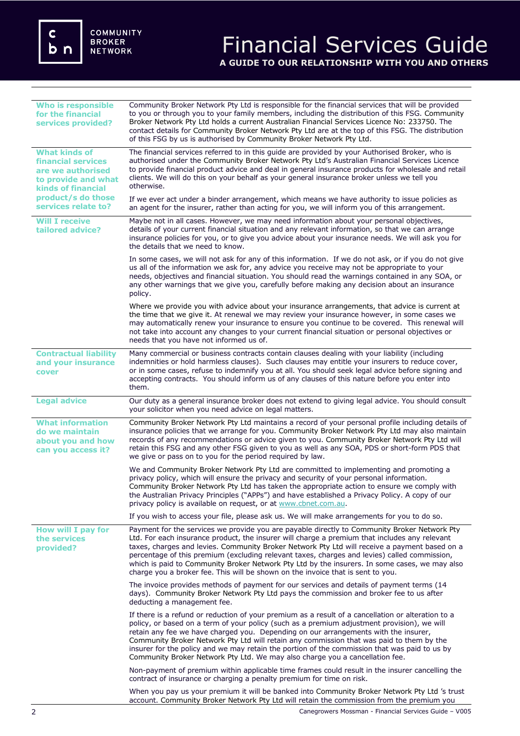c<br>b n

# Financial Services Guide **A GUIDE TO OUR RELATIONSHIP WITH YOU AND OTHERS**

| <b>Who is responsible</b><br>for the financial<br>services provided?                                                                                                    | Community Broker Network Pty Ltd is responsible for the financial services that will be provided<br>to you or through you to your family members, including the distribution of this FSG. Community<br>Broker Network Pty Ltd holds a current Australian Financial Services Licence No: 233750. The<br>contact details for Community Broker Network Pty Ltd are at the top of this FSG. The distribution<br>of this FSG by us is authorised by Community Broker Network Pty Ltd.                                                                                                   |
|-------------------------------------------------------------------------------------------------------------------------------------------------------------------------|------------------------------------------------------------------------------------------------------------------------------------------------------------------------------------------------------------------------------------------------------------------------------------------------------------------------------------------------------------------------------------------------------------------------------------------------------------------------------------------------------------------------------------------------------------------------------------|
| <b>What kinds of</b><br><b>financial services</b><br>are we authorised<br>to provide and what<br><b>kinds of financial</b><br>product/s do those<br>services relate to? | The financial services referred to in this guide are provided by your Authorised Broker, who is<br>authorised under the Community Broker Network Pty Ltd's Australian Financial Services Licence<br>to provide financial product advice and deal in general insurance products for wholesale and retail<br>clients. We will do this on your behalf as your general insurance broker unless we tell you<br>otherwise.                                                                                                                                                               |
|                                                                                                                                                                         | If we ever act under a binder arrangement, which means we have authority to issue policies as<br>an agent for the insurer, rather than acting for you, we will inform you of this arrangement.                                                                                                                                                                                                                                                                                                                                                                                     |
| <b>Will I receive</b><br>tailored advice?                                                                                                                               | Maybe not in all cases. However, we may need information about your personal objectives,<br>details of your current financial situation and any relevant information, so that we can arrange<br>insurance policies for you, or to give you advice about your insurance needs. We will ask you for<br>the details that we need to know.                                                                                                                                                                                                                                             |
|                                                                                                                                                                         | In some cases, we will not ask for any of this information. If we do not ask, or if you do not give<br>us all of the information we ask for, any advice you receive may not be appropriate to your<br>needs, objectives and financial situation. You should read the warnings contained in any SOA, or<br>any other warnings that we give you, carefully before making any decision about an insurance<br>policy.                                                                                                                                                                  |
|                                                                                                                                                                         | Where we provide you with advice about your insurance arrangements, that advice is current at<br>the time that we give it. At renewal we may review your insurance however, in some cases we<br>may automatically renew your insurance to ensure you continue to be covered. This renewal will<br>not take into account any changes to your current financial situation or personal objectives or<br>needs that you have not informed us of.                                                                                                                                       |
| <b>Contractual liability</b><br>and your insurance<br>cover                                                                                                             | Many commercial or business contracts contain clauses dealing with your liability (including<br>indemnities or hold harmless clauses). Such clauses may entitle your insurers to reduce cover,<br>or in some cases, refuse to indemnify you at all. You should seek legal advice before signing and<br>accepting contracts. You should inform us of any clauses of this nature before you enter into<br>them.                                                                                                                                                                      |
| <b>Legal advice</b>                                                                                                                                                     | Our duty as a general insurance broker does not extend to giving legal advice. You should consult<br>your solicitor when you need advice on legal matters.                                                                                                                                                                                                                                                                                                                                                                                                                         |
| <b>What information</b><br>do we maintain<br>about you and how<br>can you access it?                                                                                    | Community Broker Network Pty Ltd maintains a record of your personal profile including details of<br>insurance policies that we arrange for you. Community Broker Network Pty Ltd may also maintain<br>records of any recommendations or advice given to you. Community Broker Network Pty Ltd will<br>retain this FSG and any other FSG given to you as well as any SOA, PDS or short-form PDS that<br>we give or pass on to you for the period required by law.                                                                                                                  |
|                                                                                                                                                                         | We and Community Broker Network Pty Ltd are committed to implementing and promoting a<br>privacy policy, which will ensure the privacy and security of your personal information.<br>Community Broker Network Pty Ltd has taken the appropriate action to ensure we comply with<br>the Australian Privacy Principles ("APPs") and have established a Privacy Policy. A copy of our<br>privacy policy is available on request, or at www.cbnet.com.au.                                                                                                                              |
|                                                                                                                                                                         | If you wish to access your file, please ask us. We will make arrangements for you to do so.                                                                                                                                                                                                                                                                                                                                                                                                                                                                                        |
| <b>How will I pay for</b><br>the services<br>provided?                                                                                                                  | Payment for the services we provide you are payable directly to Community Broker Network Pty<br>Ltd. For each insurance product, the insurer will charge a premium that includes any relevant<br>taxes, charges and levies. Community Broker Network Pty Ltd will receive a payment based on a<br>percentage of this premium (excluding relevant taxes, charges and levies) called commission,<br>which is paid to Community Broker Network Pty Ltd by the insurers. In some cases, we may also<br>charge you a broker fee. This will be shown on the invoice that is sent to you. |
|                                                                                                                                                                         | The invoice provides methods of payment for our services and details of payment terms (14<br>days). Community Broker Network Pty Ltd pays the commission and broker fee to us after<br>deducting a management fee.                                                                                                                                                                                                                                                                                                                                                                 |
|                                                                                                                                                                         | If there is a refund or reduction of your premium as a result of a cancellation or alteration to a<br>policy, or based on a term of your policy (such as a premium adjustment provision), we will<br>retain any fee we have charged you. Depending on our arrangements with the insurer,<br>Community Broker Network Pty Ltd will retain any commission that was paid to them by the<br>insurer for the policy and we may retain the portion of the commission that was paid to us by<br>Community Broker Network Pty Ltd. We may also charge you a cancellation fee.              |
|                                                                                                                                                                         | Non-payment of premium within applicable time frames could result in the insurer cancelling the<br>contract of insurance or charging a penalty premium for time on risk.                                                                                                                                                                                                                                                                                                                                                                                                           |
|                                                                                                                                                                         | When you pay us your premium it will be banked into Community Broker Network Pty Ltd 's trust<br>account. Community Broker Network Pty Ltd will retain the commission from the premium you                                                                                                                                                                                                                                                                                                                                                                                         |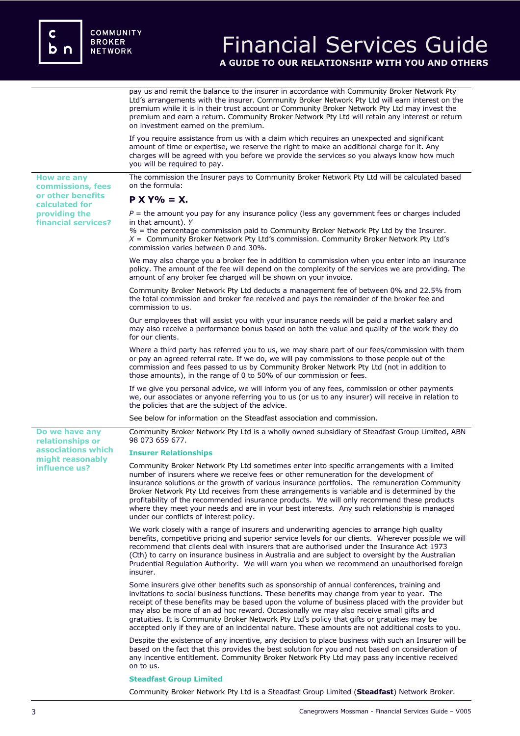**or other benefits calculated for providing the financial services?**

**Do we have any relationships or associations which might reasonably influence us?** 

## Financial Services Guide **A GUIDE TO OUR RELATIONSHIP WITH YOU AND OTHERS**

pay us and remit the balance to the insurer in accordance with Community Broker Network Pty Ltd's arrangements with the insurer. Community Broker Network Pty Ltd will earn interest on the premium while it is in their trust account or Community Broker Network Pty Ltd may invest the premium and earn a return. Community Broker Network Pty Ltd will retain any interest or return on investment earned on the premium.

If you require assistance from us with a claim which requires an unexpected and significant amount of time or expertise, we reserve the right to make an additional charge for it. Any charges will be agreed with you before we provide the services so you always know how much you will be required to pay.

**How are any commissions, fees**  The commission the Insurer pays to Community Broker Network Pty Ltd will be calculated based on the formula:

## **P X Y% = X.**

 $P =$  the amount you pay for any insurance policy (less any government fees or charges included in that amount). *Y*

*%* = the percentage commission paid to Community Broker Network Pty Ltd by the Insurer. *X* = Community Broker Network Pty Ltd's commission. Community Broker Network Pty Ltd's commission varies between 0 and 30%.

We may also charge you a broker fee in addition to commission when you enter into an insurance policy. The amount of the fee will depend on the complexity of the services we are providing. The amount of any broker fee charged will be shown on your invoice.

Community Broker Network Pty Ltd deducts a management fee of between 0% and 22.5% from the total commission and broker fee received and pays the remainder of the broker fee and commission to us.

Our employees that will assist you with your insurance needs will be paid a market salary and may also receive a performance bonus based on both the value and quality of the work they do for our clients.

Where a third party has referred you to us, we may share part of our fees/commission with them or pay an agreed referral rate. If we do, we will pay commissions to those people out of the commission and fees passed to us by Community Broker Network Pty Ltd (not in addition to those amounts), in the range of 0 to 50% of our commission or fees.

If we give you personal advice, we will inform you of any fees, commission or other payments we, our associates or anyone referring you to us (or us to any insurer) will receive in relation to the policies that are the subject of the advice.

See below for information on the Steadfast association and commission.

Community Broker Network Pty Ltd is a wholly owned subsidiary of Steadfast Group Limited, ABN 98 073 659 677.

### **Insurer Relationships**

Community Broker Network Pty Ltd sometimes enter into specific arrangements with a limited number of insurers where we receive fees or other remuneration for the development of insurance solutions or the growth of various insurance portfolios. The remuneration Community Broker Network Pty Ltd receives from these arrangements is variable and is determined by the profitability of the recommended insurance products. We will only recommend these products where they meet your needs and are in your best interests. Any such relationship is managed under our conflicts of interest policy.

We work closely with a range of insurers and underwriting agencies to arrange high quality benefits, competitive pricing and superior service levels for our clients. Wherever possible we will recommend that clients deal with insurers that are authorised under the Insurance Act 1973 (Cth) to carry on insurance business in Australia and are subject to oversight by the Australian Prudential Regulation Authority. We will warn you when we recommend an unauthorised foreign insurer.

Some insurers give other benefits such as sponsorship of annual conferences, training and invitations to social business functions. These benefits may change from year to year. The receipt of these benefits may be based upon the volume of business placed with the provider but may also be more of an ad hoc reward. Occasionally we may also receive small gifts and gratuities. It is Community Broker Network Pty Ltd's policy that gifts or gratuities may be accepted only if they are of an incidental nature. These amounts are not additional costs to you.

Despite the existence of any incentive, any decision to place business with such an Insurer will be based on the fact that this provides the best solution for you and not based on consideration of any incentive entitlement. Community Broker Network Pty Ltd may pass any incentive received on to us.

### **Steadfast Group Limited**

Community Broker Network Pty Ltd is a Steadfast Group Limited (**Steadfast**) Network Broker.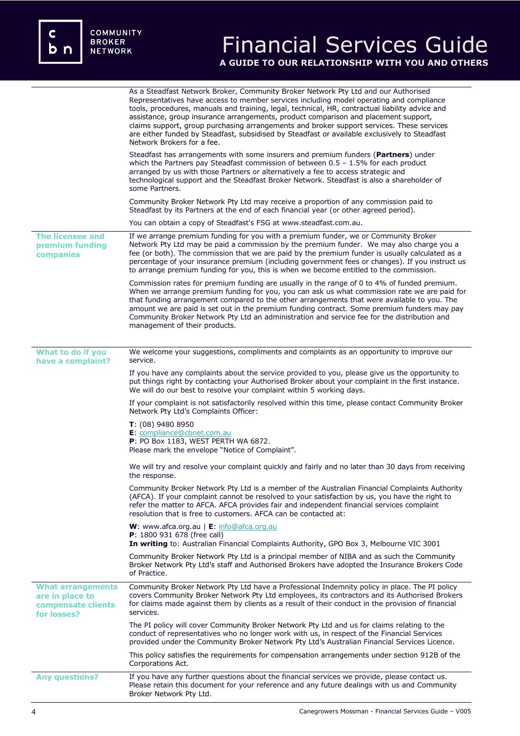c<br>b n

# Financial Services Guide **A GUIDE TO OUR RELATIONSHIP WITH YOU AND OTHERS**

|                                                                                  | As a Steadfast Network Broker, Community Broker Network Pty Ltd and our Authorised<br>Representatives have access to member services including model operating and compliance<br>tools, procedures, manuals and training, legal, technical, HR, contractual liability advice and<br>assistance, group insurance arrangements, product comparison and placement support,<br>claims support, group purchasing arrangements and broker support services. These services<br>are either funded by Steadfast, subsidised by Steadfast or available exclusively to Steadfast<br>Network Brokers for a fee. |
|----------------------------------------------------------------------------------|-----------------------------------------------------------------------------------------------------------------------------------------------------------------------------------------------------------------------------------------------------------------------------------------------------------------------------------------------------------------------------------------------------------------------------------------------------------------------------------------------------------------------------------------------------------------------------------------------------|
|                                                                                  | Steadfast has arrangements with some insurers and premium funders (Partners) under<br>which the Partners pay Steadfast commission of between $0.5 - 1.5%$ for each product<br>arranged by us with those Partners or alternatively a fee to access strategic and<br>technological support and the Steadfast Broker Network. Steadfast is also a shareholder of<br>some Partners.                                                                                                                                                                                                                     |
|                                                                                  | Community Broker Network Pty Ltd may receive a proportion of any commission paid to<br>Steadfast by its Partners at the end of each financial year (or other agreed period).                                                                                                                                                                                                                                                                                                                                                                                                                        |
|                                                                                  | You can obtain a copy of Steadfast's FSG at www.steadfast.com.au.                                                                                                                                                                                                                                                                                                                                                                                                                                                                                                                                   |
| The licensee and<br>premium funding<br>companies                                 | If we arrange premium funding for you with a premium funder, we or Community Broker<br>Network Pty Ltd may be paid a commission by the premium funder. We may also charge you a<br>fee (or both). The commission that we are paid by the premium funder is usually calculated as a<br>percentage of your insurance premium (including government fees or changes). If you instruct us<br>to arrange premium funding for you, this is when we become entitled to the commission.                                                                                                                     |
|                                                                                  | Commission rates for premium funding are usually in the range of 0 to 4% of funded premium.<br>When we arrange premium funding for you, you can ask us what commission rate we are paid for<br>that funding arrangement compared to the other arrangements that were available to you. The<br>amount we are paid is set out in the premium funding contract. Some premium funders may pay<br>Community Broker Network Pty Ltd an administration and service fee for the distribution and<br>management of their products.                                                                           |
| What to do if you                                                                | We welcome your suggestions, compliments and complaints as an opportunity to improve our                                                                                                                                                                                                                                                                                                                                                                                                                                                                                                            |
| have a complaint?                                                                | service.                                                                                                                                                                                                                                                                                                                                                                                                                                                                                                                                                                                            |
|                                                                                  | If you have any complaints about the service provided to you, please give us the opportunity to<br>put things right by contacting your Authorised Broker about your complaint in the first instance.<br>We will do our best to resolve your complaint within 5 working days.                                                                                                                                                                                                                                                                                                                        |
|                                                                                  | If your complaint is not satisfactorily resolved within this time, please contact Community Broker<br>Network Pty Ltd's Complaints Officer:                                                                                                                                                                                                                                                                                                                                                                                                                                                         |
|                                                                                  | $T: (08)$ 9480 8950<br>E: compliance@cbnet.com.au<br>P: PO Box 1183, WEST PERTH WA 6872.<br>Please mark the envelope "Notice of Complaint".                                                                                                                                                                                                                                                                                                                                                                                                                                                         |
|                                                                                  | We will try and resolve your complaint quickly and fairly and no later than 30 days from receiving<br>the response.                                                                                                                                                                                                                                                                                                                                                                                                                                                                                 |
|                                                                                  | Community Broker Network Pty Ltd is a member of the Australian Financial Complaints Authority<br>(AFCA). If your complaint cannot be resolved to your satisfaction by us, you have the right to<br>refer the matter to AFCA. AFCA provides fair and independent financial services complaint<br>resolution that is free to customers. AFCA can be contacted at:                                                                                                                                                                                                                                     |
|                                                                                  | <b>W</b> : www.afca.org.au   $E:$ $\frac{info@afca.org.au}{dt}$<br>P: 1800 931 678 (free call)<br>In writing to: Australian Financial Complaints Authority, GPO Box 3, Melbourne VIC 3001                                                                                                                                                                                                                                                                                                                                                                                                           |
|                                                                                  | Community Broker Network Pty Ltd is a principal member of NIBA and as such the Community<br>Broker Network Pty Ltd's staff and Authorised Brokers have adopted the Insurance Brokers Code<br>of Practice.                                                                                                                                                                                                                                                                                                                                                                                           |
| <b>What arrangements</b><br>are in place to<br>compensate clients<br>for losses? | Community Broker Network Pty Ltd have a Professional Indemnity policy in place. The PI policy<br>covers Community Broker Network Pty Ltd employees, its contractors and its Authorised Brokers<br>for claims made against them by clients as a result of their conduct in the provision of financial<br>services.                                                                                                                                                                                                                                                                                   |
|                                                                                  | The PI policy will cover Community Broker Network Pty Ltd and us for claims relating to the<br>conduct of representatives who no longer work with us, in respect of the Financial Services<br>provided under the Community Broker Network Pty Ltd's Australian Financial Services Licence.                                                                                                                                                                                                                                                                                                          |
|                                                                                  | This policy satisfies the requirements for compensation arrangements under section 912B of the<br>Corporations Act.                                                                                                                                                                                                                                                                                                                                                                                                                                                                                 |
| <b>Any questions?</b>                                                            | If you have any further questions about the financial services we provide, please contact us.<br>Please retain this document for your reference and any future dealings with us and Community<br>Broker Network Pty Ltd.                                                                                                                                                                                                                                                                                                                                                                            |